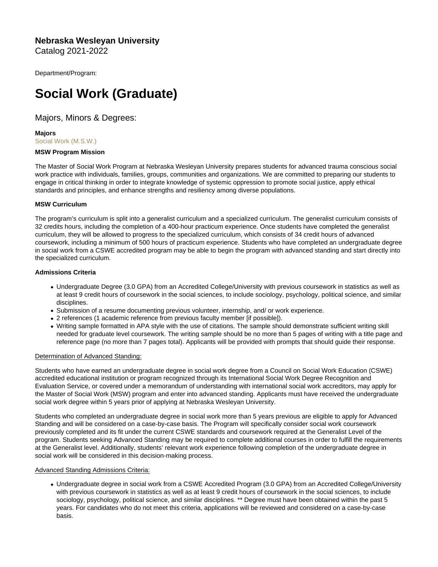Nebraska Wesleyan University Catalog 2021-2022

Department/Program:

# Social Work (Graduate)

# Majors, Minors & Degrees:

Majors [Social Work \(M.S.W.\)](https://catalog.nebrwesleyan.edu/cc/2021-2022/mmd/363394)

# MSW Program Mission

The Master of Social Work Program at Nebraska Wesleyan University prepares students for advanced trauma conscious social work practice with individuals, families, groups, communities and organizations. We are committed to preparing our students to engage in critical thinking in order to integrate knowledge of systemic oppression to promote social justice, apply ethical standards and principles, and enhance strengths and resiliency among diverse populations.

# MSW Curriculum

The program's curriculum is split into a generalist curriculum and a specialized curriculum. The generalist curriculum consists of 32 credits hours, including the completion of a 400-hour practicum experience. Once students have completed the generalist curriculum, they will be allowed to progress to the specialized curriculum, which consists of 34 credit hours of advanced coursework, including a minimum of 500 hours of practicum experience. Students who have completed an undergraduate degree in social work from a CSWE accredited program may be able to begin the program with advanced standing and start directly into the specialized curriculum.

# Admissions Criteria

- Undergraduate Degree (3.0 GPA) from an Accredited College/University with previous coursework in statistics as well as at least 9 credit hours of coursework in the social sciences, to include sociology, psychology, political science, and similar disciplines.
- Submission of a resume documenting previous volunteer, internship, and/ or work experience.
- 2 references (1 academic reference from previous faculty member [if possible]).
- Writing sample formatted in APA style with the use of citations. The sample should demonstrate sufficient writing skill needed for graduate level coursework. The writing sample should be no more than 5 pages of writing with a title page and reference page (no more than 7 pages total). Applicants will be provided with prompts that should guide their response.

# Determination of Advanced Standing:

Students who have earned an undergraduate degree in social work degree from a Council on Social Work Education (CSWE) accredited educational institution or program recognized through its International Social Work Degree Recognition and Evaluation Service, or covered under a memorandum of understanding with international social work accreditors, may apply for the Master of Social Work (MSW) program and enter into advanced standing. Applicants must have received the undergraduate social work degree within 5 years prior of applying at Nebraska Wesleyan University.

Students who completed an undergraduate degree in social work more than 5 years previous are eligible to apply for Advanced Standing and will be considered on a case-by-case basis. The Program will specifically consider social work coursework previously completed and its fit under the current CSWE standards and coursework required at the Generalist Level of the program. Students seeking Advanced Standing may be required to complete additional courses in order to fulfill the requirements at the Generalist level. Additionally, students' relevant work experience following completion of the undergraduate degree in social work will be considered in this decision-making process.

# Advanced Standing Admissions Criteria:

Undergraduate degree in social work from a CSWE Accredited Program (3.0 GPA) from an Accredited College/University with previous coursework in statistics as well as at least 9 credit hours of coursework in the social sciences, to include sociology, psychology, political science, and similar disciplines. \*\* Degree must have been obtained within the past 5 years. For candidates who do not meet this criteria, applications will be reviewed and considered on a case-by-case basis.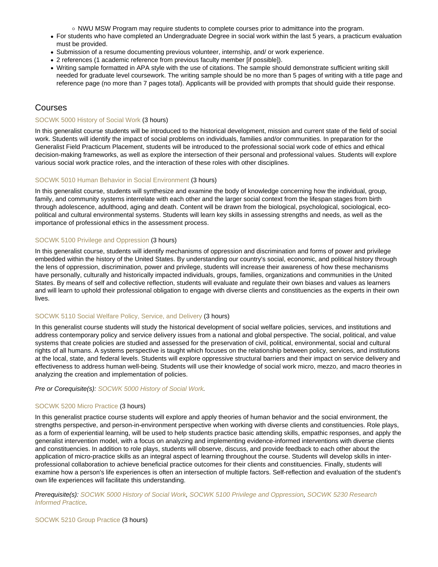NWU MSW Program may require students to complete courses prior to admittance into the program.

- For students who have completed an Undergraduate Degree in social work within the last 5 years, a practicum evaluation must be provided.
- Submission of a resume documenting previous volunteer, internship, and/ or work experience.
- 2 references (1 academic reference from previous faculty member [if possible]).
- Writing sample formatted in APA style with the use of citations. The sample should demonstrate sufficient writing skill needed for graduate level coursework. The writing sample should be no more than 5 pages of writing with a title page and reference page (no more than 7 pages total). Applicants will be provided with prompts that should guide their response.

# Courses

# [SOCWK 5000 History of Social Work](https://catalog.nebrwesleyan.edu/node/363013) (3 hours)

In this generalist course students will be introduced to the historical development, mission and current state of the field of social work. Students will identify the impact of social problems on individuals, families and/or communities. In preparation for the Generalist Field Practicum Placement, students will be introduced to the professional social work code of ethics and ethical decision-making frameworks, as well as explore the intersection of their personal and professional values. Students will explore various social work practice roles, and the interaction of these roles with other disciplines.

# [SOCWK 5010 Human Behavior in Social Environment](https://catalog.nebrwesleyan.edu/node/363014) (3 hours)

In this generalist course, students will synthesize and examine the body of knowledge concerning how the individual, group, family, and community systems interrelate with each other and the larger social context from the lifespan stages from birth through adolescence, adulthood, aging and death. Content will be drawn from the biological, psychological, sociological, ecopolitical and cultural environmental systems. Students will learn key skills in assessing strengths and needs, as well as the importance of professional ethics in the assessment process.

# [SOCWK 5100 Privilege and Oppression](https://catalog.nebrwesleyan.edu/node/363129) (3 hours)

In this generalist course, students will identify mechanisms of oppression and discrimination and forms of power and privilege embedded within the history of the United States. By understanding our country's social, economic, and political history through the lens of oppression, discrimination, power and privilege, students will increase their awareness of how these mechanisms have personally, culturally and historically impacted individuals, groups, families, organizations and communities in the United States. By means of self and collective reflection, students will evaluate and regulate their own biases and values as learners and will learn to uphold their professional obligation to engage with diverse clients and constituencies as the experts in their own lives.

# [SOCWK 5110 Social Welfare Policy, Service, and Delivery](https://catalog.nebrwesleyan.edu/node/363130) (3 hours)

In this generalist course students will study the historical development of social welfare policies, services, and institutions and address contemporary policy and service delivery issues from a national and global perspective. The social, political, and value systems that create policies are studied and assessed for the preservation of civil, political, environmental, social and cultural rights of all humans. A systems perspective is taught which focuses on the relationship between policy, services, and institutions at the local, state, and federal levels. Students will explore oppressive structural barriers and their impact on service delivery and effectiveness to address human well-being. Students will use their knowledge of social work micro, mezzo, and macro theories in analyzing the creation and implementation of policies.

Pre or Corequisite(s): [SOCWK 5000 History of Social Work.](https://catalog.nebrwesleyan.edu/cc/2021-2022/course/363013)

# [SOCWK 5200 Micro Practice](https://catalog.nebrwesleyan.edu/node/363131) (3 hours)

In this generalist practice course students will explore and apply theories of human behavior and the social environment, the strengths perspective, and person-in-environment perspective when working with diverse clients and constituencies. Role plays, as a form of experiential learning, will be used to help students practice basic attending skills, empathic responses, and apply the generalist intervention model, with a focus on analyzing and implementing evidence-informed interventions with diverse clients and constituencies. In addition to role plays, students will observe, discuss, and provide feedback to each other about the application of micro-practice skills as an integral aspect of learning throughout the course. Students will develop skills in interprofessional collaboration to achieve beneficial practice outcomes for their clients and constituencies. Finally, students will examine how a person's life experiences is often an intersection of multiple factors. Self-reflection and evaluation of the student's own life experiences will facilitate this understanding.

Prerequisite(s): [SOCWK 5000 History of Social Work](https://catalog.nebrwesleyan.edu/cc/2021-2022/course/363013), [SOCWK 5100 Privilege and Oppression,](https://catalog.nebrwesleyan.edu/cc/2021-2022/course/363129) [SOCWK 5230 Research](https://catalog.nebrwesleyan.edu/cc/2021-2022/course/363133) [Informed Practice.](https://catalog.nebrwesleyan.edu/cc/2021-2022/course/363133)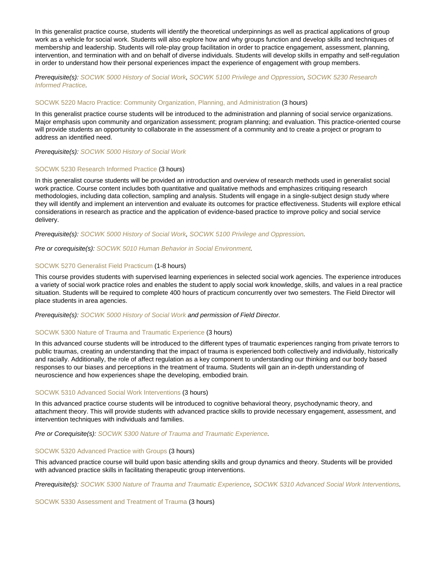In this generalist practice course, students will identify the theoretical underpinnings as well as practical applications of group work as a vehicle for social work. Students will also explore how and why groups function and develop skills and techniques of membership and leadership. Students will role-play group facilitation in order to practice engagement, assessment, planning, intervention, and termination with and on behalf of diverse individuals. Students will develop skills in empathy and self-regulation in order to understand how their personal experiences impact the experience of engagement with group members.

Prerequisite(s): [SOCWK 5000 History of Social Work](https://catalog.nebrwesleyan.edu/cc/2021-2022/course/363013), [SOCWK 5100 Privilege and Oppression,](https://catalog.nebrwesleyan.edu/cc/2021-2022/course/363129) [SOCWK 5230 Research](https://catalog.nebrwesleyan.edu/cc/2021-2022/course/363133) [Informed Practice.](https://catalog.nebrwesleyan.edu/cc/2021-2022/course/363133)

# [SOCWK 5220 Macro Practice: Community Organization, Planning, and Administration](https://catalog.nebrwesleyan.edu/node/363015) (3 hours)

In this generalist practice course students will be introduced to the administration and planning of social service organizations. Major emphasis upon community and organization assessment; program planning; and evaluation. This practice-oriented course will provide students an opportunity to collaborate in the assessment of a community and to create a project or program to address an identified need.

Prerequisite(s): [SOCWK 5000 History of Social Work](https://catalog.nebrwesleyan.edu/cc/2021-2022/course/363013)

#### [SOCWK 5230 Research Informed Practice](https://catalog.nebrwesleyan.edu/node/363133) (3 hours)

In this generalist course students will be provided an introduction and overview of research methods used in generalist social work practice. Course content includes both quantitative and qualitative methods and emphasizes critiquing research methodologies, including data collection, sampling and analysis. Students will engage in a single-subject design study where they will identify and implement an intervention and evaluate its outcomes for practice effectiveness. Students will explore ethical considerations in research as practice and the application of evidence-based practice to improve policy and social service delivery.

Prerequisite(s): [SOCWK 5000 History of Social Work](https://catalog.nebrwesleyan.edu/cc/2021-2022/course/363013), [SOCWK 5100 Privilege and Oppression.](https://catalog.nebrwesleyan.edu/cc/2021-2022/course/363129)

#### Pre or corequisite(s): [SOCWK 5010 Human Behavior in Social Environment.](https://catalog.nebrwesleyan.edu/cc/2021-2022/course/363014)

#### [SOCWK 5270 Generalist Field Practicum](https://catalog.nebrwesleyan.edu/node/363134) (1-8 hours)

This course provides students with supervised learning experiences in selected social work agencies. The experience introduces a variety of social work practice roles and enables the student to apply social work knowledge, skills, and values in a real practice situation. Students will be required to complete 400 hours of practicum concurrently over two semesters. The Field Director will place students in area agencies.

Prerequisite(s): [SOCWK 5000 History of Social Work](https://catalog.nebrwesleyan.edu/cc/2021-2022/course/363013) and permission of Field Director.

#### [SOCWK 5300 Nature of Trauma and Traumatic Experience](https://catalog.nebrwesleyan.edu/node/363135) (3 hours)

In this advanced course students will be introduced to the different types of traumatic experiences ranging from private terrors to public traumas, creating an understanding that the impact of trauma is experienced both collectively and individually, historically and racially. Additionally, the role of affect regulation as a key component to understanding our thinking and our body based responses to our biases and perceptions in the treatment of trauma. Students will gain an in-depth understanding of neuroscience and how experiences shape the developing, embodied brain.

#### [SOCWK 5310 Advanced Social Work Interventions](https://catalog.nebrwesleyan.edu/node/363136) (3 hours)

In this advanced practice course students will be introduced to cognitive behavioral theory, psychodynamic theory, and attachment theory. This will provide students with advanced practice skills to provide necessary engagement, assessment, and intervention techniques with individuals and families.

Pre or Corequisite(s): [SOCWK 5300 Nature of Trauma and Traumatic Experience](https://catalog.nebrwesleyan.edu/cc/2021-2022/course/363135).

#### [SOCWK 5320 Advanced Practice with Groups](https://catalog.nebrwesleyan.edu/node/363137) (3 hours)

This advanced practice course will build upon basic attending skills and group dynamics and theory. Students will be provided with advanced practice skills in facilitating therapeutic group interventions.

Prerequisite(s): [SOCWK 5300 Nature of Trauma and Traumatic Experience,](https://catalog.nebrwesleyan.edu/cc/2021-2022/course/363135) [SOCWK 5310 Advanced Social Work Interventions](https://catalog.nebrwesleyan.edu/cc/2021-2022/course/363136).

[SOCWK 5330 Assessment and Treatment of Trauma](https://catalog.nebrwesleyan.edu/node/363138) (3 hours)